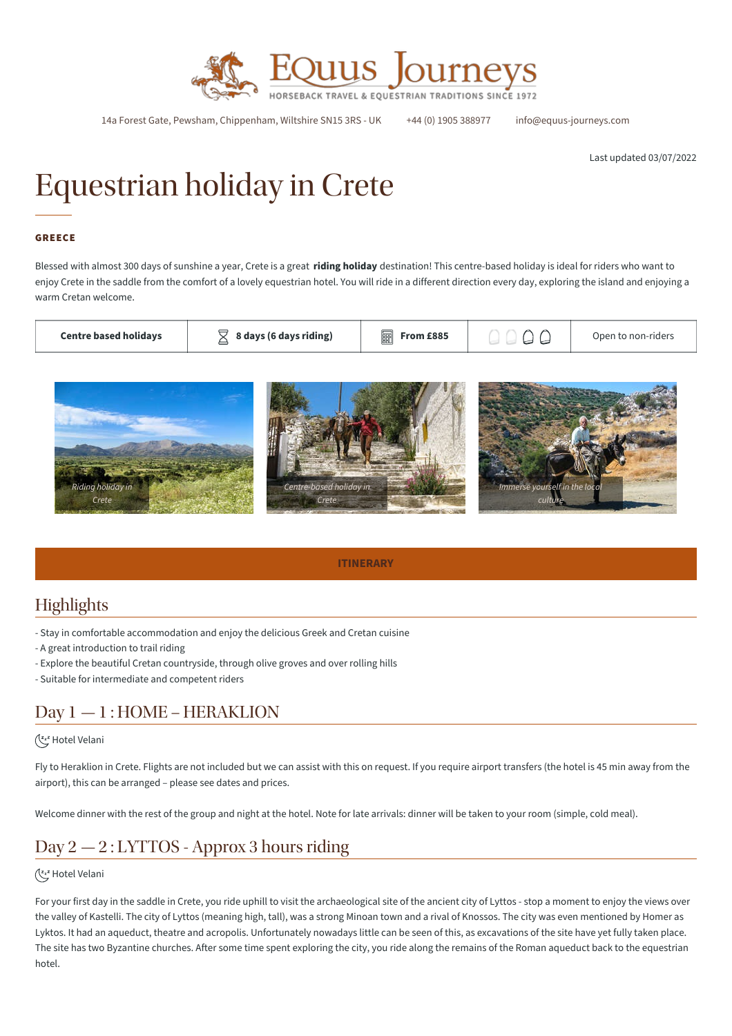

14a Forest Gate, Pewsham, Chippenham, Wiltshire SN15 3RS - UK +44 (0) 1905 388977 info@equus-journeys.com

Last updated 03/07/2022

# Equestrian holiday in Crete

#### GREECE

Blessed with almost 300 days of sunshine a year, Crete is a great **riding holiday** destination! This centre-based holiday is ideal for riders who want to enjoy Crete in the saddle from the comfort of a lovely equestrian hotel. You will ride in a different direction every day, exploring the island and enjoying a warm Cretan welcome.

| <b>Centre based holidavs</b> | 8 days (6 days riding) | From £885<br>1888 |  | Open to non-riders |
|------------------------------|------------------------|-------------------|--|--------------------|
|------------------------------|------------------------|-------------------|--|--------------------|



**ITINERARY**

# **Highlights**

- Stay in comfortable accommodation and enjoy the delicious Greek and Cretan cuisine

- A great introduction to trail riding

- Explore the beautiful Cretan countryside, through olive groves and over rolling hills

- Suitable for intermediate and competent riders

# Day 1 — 1 : HOME – HERAKLION

#### Hotel Velani

Fly to Heraklion in Crete. Flights are not included but we can assist with this on request. If you require airport transfers (the hotel is 45 min away from the airport), this can be arranged – please see dates and prices.

Welcome dinner with the rest of the group and night at the hotel. Note for late arrivals: dinner will be taken to your room (simple, cold meal).

# Day 2 — 2 : LYTTOS - Approx 3 hours riding

#### (<a>Letel Velani

For your first day in the saddle in Crete, you ride uphill to visit the archaeological site of the ancient city of Lyttos - stop a moment to enjoy the views over the valley of Kastelli. The city of Lyttos (meaning high, tall), was a strong Minoan town and a rival of Knossos. The city was even mentioned by Homer as Lyktos. It had an aqueduct, theatre and acropolis. Unfortunately nowadays little can be seen of this, as excavations of the site have yet fully taken place. The site has two Byzantine churches. After some time spent exploring the city, you ride along the remains of the Roman aqueduct back to the equestrian hotel.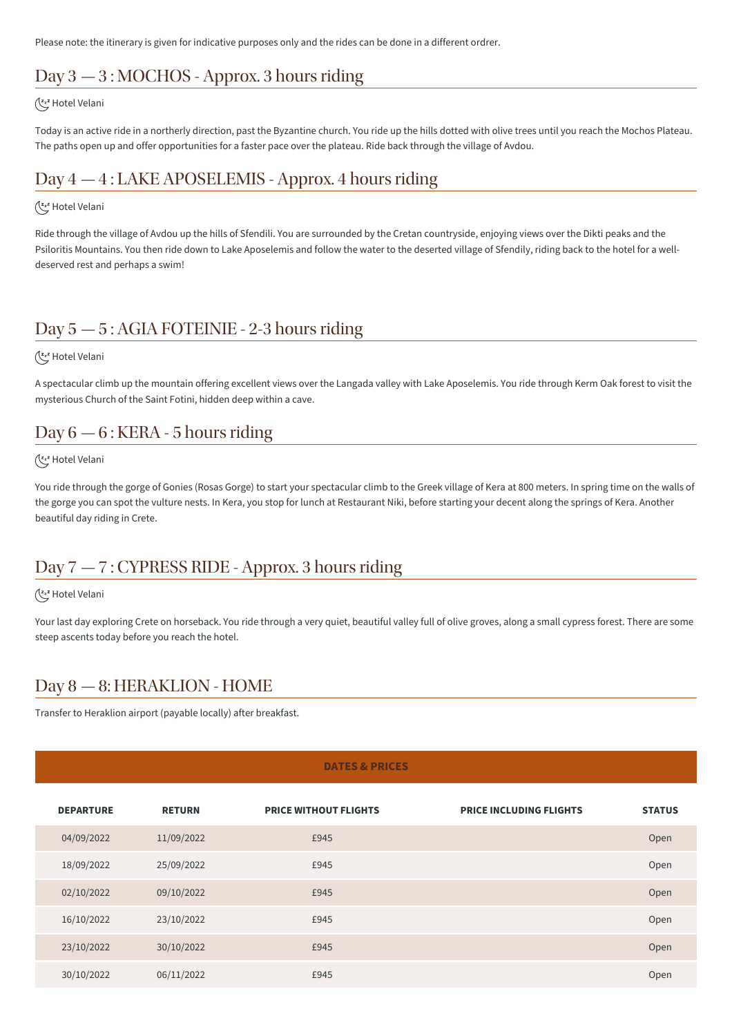Please note: the itinerary is given for indicative purposes only and the rides can be done in a different ordrer.

# Day 3 — 3 : MOCHOS - Approx. 3 hours riding

#### (<a>Letel Velani

Today is an active ride in a northerly direction, past the Byzantine church. You ride up the hills dotted with olive trees until you reach the Mochos Plateau. The paths open up and offer opportunities for a faster pace over the plateau. Ride back through the village of Avdou.

# Day 4 — 4 : LAKE APOSELEMIS - Approx. 4 hours riding

#### (<a>Letel Velani

Ride through the village of Avdou up the hills of Sfendili. You are surrounded by the Cretan countryside, enjoying views over the Dikti peaks and the Psiloritis Mountains. You then ride down to Lake Aposelemis and follow the water to the deserted village of Sfendily, riding back to the hotel for a welldeserved rest and perhaps a swim!

# Day 5 — 5 : AGIA FOTEINIE - 2-3 hours riding

#### (<a>Letel Velani

A spectacular climb up the mountain offering excellent views over the Langada valley with Lake Aposelemis. You ride through Kerm Oak forest to visit the mysterious Church of the Saint Fotini, hidden deep within a cave.

### Day 6 — 6 : KERA - 5 hours riding

#### (<a>Letel Velani

You ride through the gorge of Gonies (Rosas Gorge) to start your spectacular climb to the Greek village of Kera at 800 meters. In spring time on the walls of the gorge you can spot the vulture nests. In Kera, you stop for lunch at Restaurant Niki, before starting your decent along the springs of Kera. Another beautiful day riding in Crete.

# Day 7 — 7 : CYPRESS RIDE - Approx. 3 hours riding

#### (<a>Letel Velani

Your last day exploring Crete on horseback. You ride through a very quiet, beautiful valley full of olive groves, along a small cypress forest. There are some steep ascents today before you reach the hotel.

### Day 8 — 8: HERAKLION - HOME

Transfer to Heraklion airport (payable locally) after breakfast.

#### **DATES & PRICES**

| <b>DEPARTURE</b> | <b>RETURN</b> | <b>PRICE WITHOUT FLIGHTS</b> | <b>PRICE INCLUDING FLIGHTS</b> | <b>STATUS</b> |
|------------------|---------------|------------------------------|--------------------------------|---------------|
| 04/09/2022       | 11/09/2022    | £945                         |                                | Open          |
| 18/09/2022       | 25/09/2022    | £945                         |                                | Open          |
| 02/10/2022       | 09/10/2022    | £945                         |                                | Open          |
| 16/10/2022       | 23/10/2022    | £945                         |                                | Open          |
| 23/10/2022       | 30/10/2022    | £945                         |                                | Open          |
| 30/10/2022       | 06/11/2022    | £945                         |                                | Open          |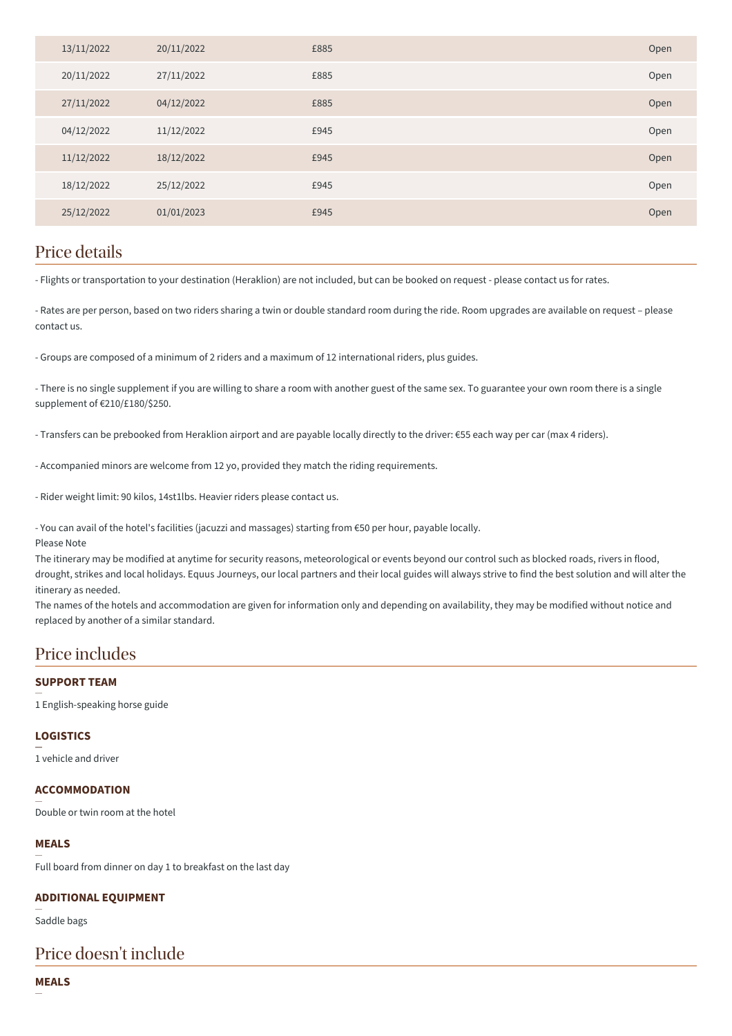| 13/11/2022 | 20/11/2022 | £885 | Open |
|------------|------------|------|------|
| 20/11/2022 | 27/11/2022 | £885 | Open |
| 27/11/2022 | 04/12/2022 | £885 | Open |
| 04/12/2022 | 11/12/2022 | £945 | Open |
| 11/12/2022 | 18/12/2022 | £945 | Open |
| 18/12/2022 | 25/12/2022 | £945 | Open |
| 25/12/2022 | 01/01/2023 | £945 | Open |
|            |            |      |      |

### Price details

- Flights or transportation to your destination (Heraklion) are not included, but can be booked on request - please contact us for rates.

- Rates are per person, based on two riders sharing a twin or double standard room during the ride. Room upgrades are available on request – please contact us.

- Groups are composed of a minimum of 2 riders and a maximum of 12 international riders, plus guides.

- There is no single supplement if you are willing to share a room with another guest of the same sex. To guarantee your own room there is a single supplement of €210/£180/\$250.

- Transfers can be prebooked from Heraklion airport and are payable locally directly to the driver: €55 each way per car (max 4 riders).

- Accompanied minors are welcome from 12 yo, provided they match the riding requirements.

- Rider weight limit: 90 kilos, 14st1lbs. Heavier riders please contact us.

- You can avail of the hotel's facilities (jacuzzi and massages) starting from €50 per hour, payable locally.

Please Note

The itinerary may be modified at anytime for security reasons, meteorological or events beyond our control such as blocked roads, rivers in flood, drought, strikes and local holidays. Equus Journeys, our local partners and their local guides will always strive to find the best solution and will alter the itinerary as needed.

The names of the hotels and accommodation are given for information only and depending on availability, they may be modified without notice and replaced by another of a similar standard.

### Price includes

#### **SUPPORT TEAM**

1 English-speaking horse guide

#### **LOGISTICS**

1 vehicle and driver

#### **ACCOMMODATION**

Double or twin room at the hotel

#### **MEALS**

Full board from dinner on day 1 to breakfast on the last day

#### **ADDITIONAL EQUIPMENT**

Saddle bags

### Price doesn't include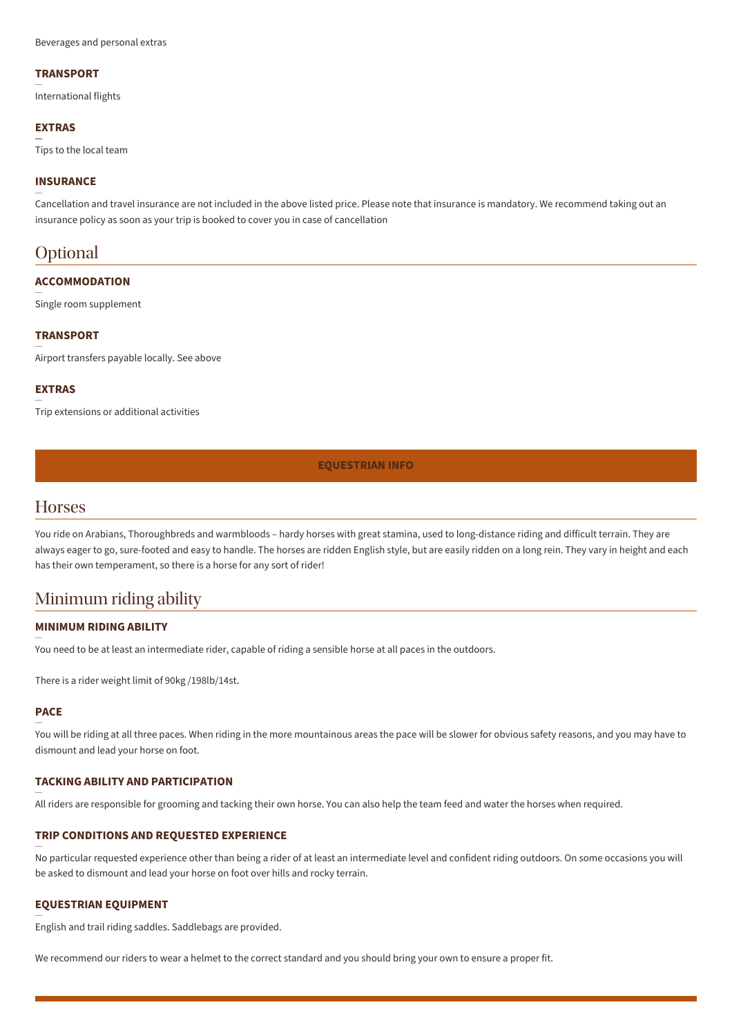#### **TRANSPORT**

International flights

#### **EXTRAS**

Tips to the local team

#### **INSURANCE**

Cancellation and travel insurance are not included in the above listed price. Please note that insurance is mandatory. We recommend taking out an insurance policy as soon as your trip is booked to cover you in case of cancellation

### **Optional**

#### **ACCOMMODATION**

Single room supplement

#### **TRANSPORT**

Airport transfers payable locally. See above

#### **EXTRAS**

Trip extensions or additional activities

#### **EQUESTRIAN INFO**

### **Horses**

You ride on Arabians, Thoroughbreds and warmbloods – hardy horses with great stamina, used to long-distance riding and difficult terrain. They are always eager to go, sure-footed and easy to handle. The horses are ridden English style, but are easily ridden on a long rein. They vary in height and each has their own temperament, so there is a horse for any sort of rider!

### Minimum riding ability

#### **MINIMUM RIDING ABILITY**

You need to be at least an intermediate rider, capable of riding a sensible horse at all paces in the outdoors.

There is a rider weight limit of 90kg /198lb/14st.

#### **PACE**

You will be riding at all three paces. When riding in the more mountainous areas the pace will be slower for obvious safety reasons, and you may have to dismount and lead your horse on foot.

#### **TACKING ABILITY AND PARTICIPATION**

All riders are responsible for grooming and tacking their own horse. You can also help the team feed and water the horses when required.

#### **TRIP CONDITIONS AND REQUESTED EXPERIENCE**

No particular requested experience other than being a rider of at least an intermediate level and confident riding outdoors. On some occasions you will be asked to dismount and lead your horse on foot over hills and rocky terrain.

#### **EQUESTRIAN EQUIPMENT**

English and trail riding saddles. Saddlebags are provided.

We recommend our riders to wear a helmet to the correct standard and you should bring your own to ensure a proper fit.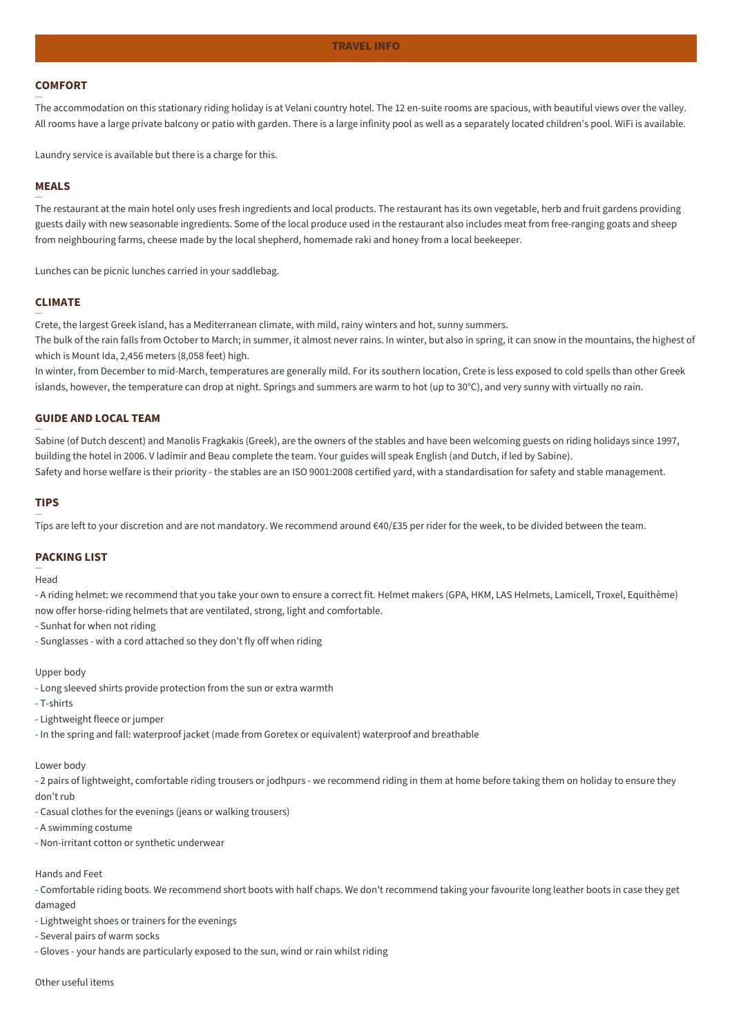#### **COMFORT**

The accommodation on this stationary riding holiday is at Velani country hotel. The 12 en-suite rooms are spacious, with beautiful views over the valley. All rooms have a large private balcony or patio with garden. There is a large infinity pool as well as a separately located children's pool. WiFi is available.

Laundry service is available but there is a charge for this.

#### **MEALS**

The restaurant at the main hotel only uses fresh ingredients and local products. The restaurant has its own vegetable, herb and fruit gardens providing guests daily with new seasonable ingredients. Some of the local produce used in the restaurant also includes meat from free-ranging goats and sheep from neighbouring farms, cheese made by the local shepherd, homemade raki and honey from a local beekeeper.

Lunches can be picnic lunches carried in your saddlebag.

#### **CLIMATE**

Crete, the largest Greek island, has a Mediterranean climate, with mild, rainy winters and hot, sunny summers.

The bulk of the rain falls from October to March; in summer, it almost never rains. In winter, but also in spring, it can snow in the mountains, the highest of which is Mount Ida, 2,456 meters (8,058 feet) high.

In winter, from December to mid-March, temperatures are generally mild. For its southern location, Crete is less exposed to cold spells than other Greek islands, however, the temperature can drop at night. Springs and summers are warm to hot (up to 30°C), and very sunny with virtually no rain.

#### **GUIDE AND LOCAL TEAM**

Sabine (of Dutch descent) and Manolis Fragkakis (Greek), are the owners of the stables and have been welcoming guests on riding holidays since 1997, building the hotel in 2006. V ladimir and Beau complete the team. Your guides will speak English (and Dutch, if led by Sabine).

Safety and horse welfare is their priority - the stables are an ISO 9001:2008 certified yard, with a standardisation for safety and stable management.

#### **TIPS**

Tips are left to your discretion and are not mandatory. We recommend around €40/£35 per rider for the week, to be divided between the team.

#### **PACKING LIST**

Head

- A riding helmet: we recommend that you take your own to ensure a correct fit. Helmet makers (GPA, HKM, LAS Helmets, Lamicell, Troxel, Equithème) now offer horse-riding helmets that are ventilated, strong, light and comfortable.

- Sunhat for when not riding
- Sunglasses with a cord attached so they don't fly off when riding

#### Upper body

- Long sleeved shirts provide protection from the sun or extra warmth

- T-shirts

- Lightweight fleece or jumper

- In the spring and fall: waterproof jacket (made from Goretex or equivalent) waterproof and breathable

#### Lower body

- 2 pairs of lightweight, comfortable riding trousers or jodhpurs - we recommend riding in them at home before taking them on holiday to ensure they don't rub

- Casual clothes for the evenings (jeans or walking trousers)

- A swimming costume
- Non-irritant cotton or synthetic underwear

#### Hands and Feet

- Comfortable riding boots. We recommend short boots with half chaps. We don't recommend taking your favourite long leather boots in case they get damaged

- Lightweight shoes or trainers for the evenings

- Several pairs of warm socks

- Gloves - your hands are particularly exposed to the sun, wind or rain whilst riding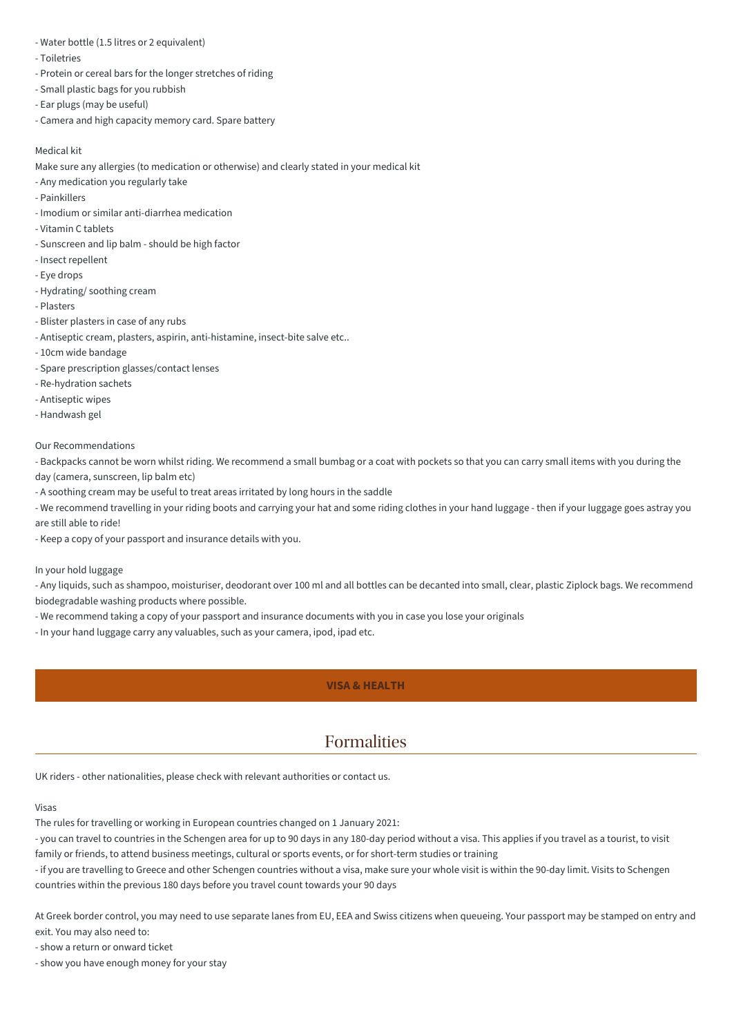- Water bottle (1.5 litres or 2 equivalent)
- Toiletries
- Protein or cereal bars for the longer stretches of riding
- Small plastic bags for you rubbish
- Ear plugs (may be useful)
- Camera and high capacity memory card. Spare battery

#### Medical kit

Make sure any allergies (to medication or otherwise) and clearly stated in your medical kit

- Any medication you regularly take
- Painkillers
- Imodium or similar anti-diarrhea medication
- Vitamin C tablets
- Sunscreen and lip balm should be high factor
- Insect repellent
- Eye drops
- Hydrating/ soothing cream
- Plasters
- Blister plasters in case of any rubs
- Antiseptic cream, plasters, aspirin, anti-histamine, insect-bite salve etc..
- 10cm wide bandage
- Spare prescription glasses/contact lenses
- Re-hydration sachets
- Antiseptic wipes
- Handwash gel

#### Our Recommendations

- Backpacks cannot be worn whilst riding. We recommend a small bumbag or a coat with pockets so that you can carry small items with you during the day (camera, sunscreen, lip balm etc)

- A soothing cream may be useful to treat areas irritated by long hours in the saddle

- We recommend travelling in your riding boots and carrying your hat and some riding clothes in your hand luggage - then if your luggage goes astray you are still able to ride!

- Keep a copy of your passport and insurance details with you.

In your hold luggage

- Any liquids, such as shampoo, moisturiser, deodorant over 100 ml and all bottles can be decanted into small, clear, plastic Ziplock bags. We recommend biodegradable washing products where possible.

- We recommend taking a copy of your passport and insurance documents with you in case you lose your originals
- In your hand luggage carry any valuables, such as your camera, ipod, ipad etc.

#### **VISA & HEALTH**

### Formalities

UK riders - other nationalities, please check with relevant authorities or contact us.

#### Visas

The rules for travelling or working in European countries changed on 1 January 2021:

- you can travel to countries in the Schengen area for up to 90 days in any 180-day period without a visa. This applies if you travel as a tourist, to visit family or friends, to attend business meetings, cultural or sports events, or for short-term studies or training

- if you are travelling to Greece and other Schengen countries without a visa, make sure your whole visit is within the 90-day limit. Visits to Schengen countries within the previous 180 days before you travel count towards your 90 days

At Greek border control, you may need to use separate lanes from EU, EEA and Swiss citizens when queueing. Your passport may be stamped on entry and exit. You may also need to:

- show a return or onward ticket

- show you have enough money for your stay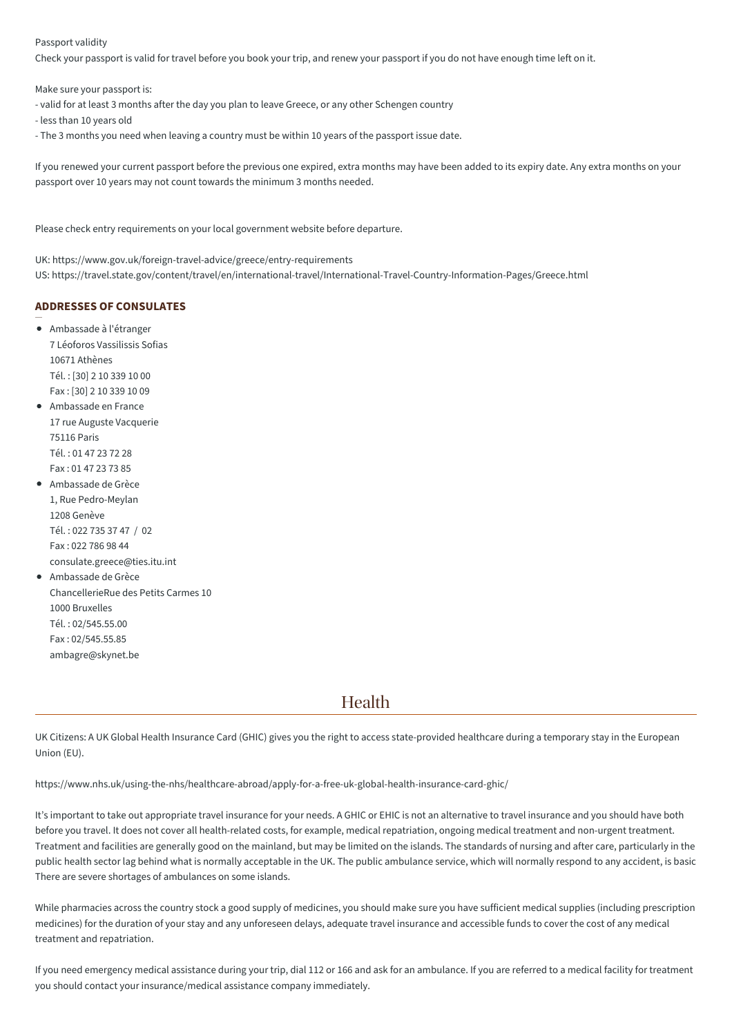#### Passport validity

Check your passport is valid for travel before you book your trip, and renew your passport if you do not have enough time left on it.

Make sure your passport is:

- valid for at least 3 months after the day you plan to leave Greece, or any other Schengen country

- less than 10 years old
- The 3 months you need when leaving a country must be within 10 years of the passport issue date.

If you renewed your current passport before the previous one expired, extra months may have been added to its expiry date. Any extra months on your passport over 10 years may not count towards the minimum 3 months needed.

Please check entry requirements on your local government website before departure.

UK: https://www.gov.uk/foreign-travel-advice/greece/entry-requirements US: https://travel.state.gov/content/travel/en/international-travel/International-Travel-Country-Information-Pages/Greece.html

#### **ADDRESSES OF CONSULATES**

Ambassade à l'étranger 7 Léoforos Vassilissis Sofias 10671 Athènes Tél. : [30] 2 10 339 10 00 Fax : [30] 2 10 339 10 09 Ambassade en France

- 17 rue Auguste Vacquerie 75116 Paris Tél. : 01 47 23 72 28 Fax : 01 47 23 73 85
- Ambassade de Grèce 1, Rue Pedro-Meylan 1208 Genève Tél. : 022 735 37 47 / 02 Fax : 022 786 98 44 consulate.greece@ties.itu.int
- Ambassade de Grèce ChancellerieRue des Petits Carmes 10 1000 Bruxelles Tél. : 02/545.55.00 Fax : 02/545.55.85 ambagre@skynet.be

### Health

UK Citizens: A UK Global Health Insurance Card (GHIC) gives you the right to access state-provided healthcare during a temporary stay in the European Union (EU).

https://www.nhs.uk/using-the-nhs/healthcare-abroad/apply-for-a-free-uk-global-health-insurance-card-ghic/

It's important to take out appropriate travel insurance for your needs. A GHIC or EHIC is not an alternative to travel insurance and you should have both before you travel. It does not cover all health-related costs, for example, medical repatriation, ongoing medical treatment and non-urgent treatment. Treatment and facilities are generally good on the mainland, but may be limited on the islands. The standards of nursing and after care, particularly in the public health sector lag behind what is normally acceptable in the UK. The public ambulance service, which will normally respond to any accident, is basic. There are severe shortages of ambulances on some islands.

While pharmacies across the country stock a good supply of medicines, you should make sure you have sufficient medical supplies (including prescription medicines) for the duration of your stay and any unforeseen delays, adequate travel insurance and accessible funds to cover the cost of any medical treatment and repatriation.

If you need emergency medical assistance during your trip, dial 112 or 166 and ask for an ambulance. If you are referred to a medical facility for treatment you should contact your insurance/medical assistance company immediately.